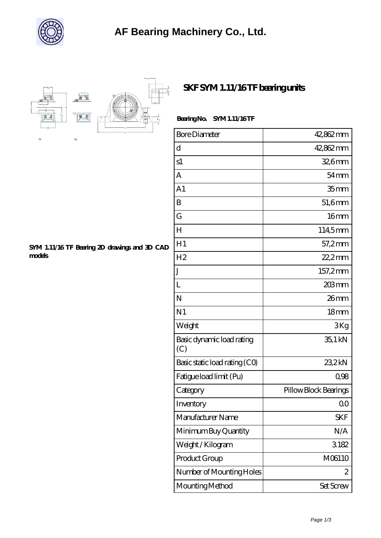

## **[AF Bearing Machinery Co., Ltd.](https://fkkic.com)**



## **[SKF SYM 1.11/16 TF bearing units](https://fkkic.com/al-150286-skf-sym-1-11-16-tf-bearing-units.html)**

### **Bearing No. SYM 1.11/16 TF**

| <b>Bore Diameter</b>             | 42,862 mm             |
|----------------------------------|-----------------------|
| d                                | 42,862 mm             |
| s1                               | $326$ mm              |
| А                                | $54 \text{mm}$        |
| A <sub>1</sub>                   | 35 <sub>mm</sub>      |
| B                                | 51,6mm                |
| G                                | 16mm                  |
| $H_{\rm}$                        | 114,5mm               |
| H1                               | 57,2mm                |
| H <sub>2</sub>                   | $22.2$ mm             |
| J                                | 157,2mm               |
| L                                | 203mm                 |
| N                                | 26mm                  |
| N <sub>1</sub>                   | 18 <sub>mm</sub>      |
| Weight                           | 3Kg                   |
| Basic dynamic load rating<br>(C) | 35,1 kN               |
| Basic static load rating (CO)    | 23,2kN                |
| Fatigue load limit (Pu)          | 0,98                  |
| Category                         | Pillow Block Bearings |
| Inventory                        | QO                    |
| Manufacturer Name                | <b>SKF</b>            |
| Minimum Buy Quantity             | N/A                   |
| Weight/Kilogram                  | 3182                  |
| Product Group                    | M06110                |
| Number of Mounting Holes         | 2                     |
| Mounting Method                  | Set Screw             |

#### **[SYM 1.11/16 TF Bearing 2D drawings and 3D CAD](https://fkkic.com/pic-150286.html) [models](https://fkkic.com/pic-150286.html)**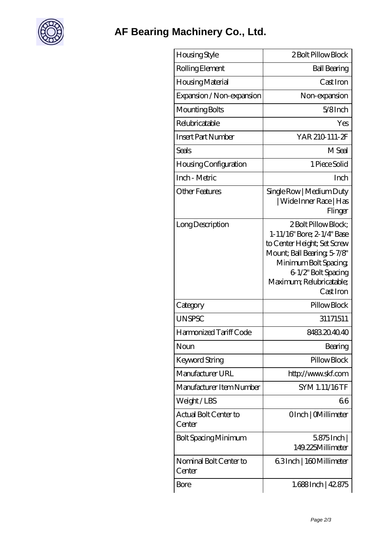

| Housing Style                    | 2 Bolt Pillow Block                                                                                                                                                                                      |
|----------------------------------|----------------------------------------------------------------------------------------------------------------------------------------------------------------------------------------------------------|
| Rolling Element                  | <b>Ball Bearing</b>                                                                                                                                                                                      |
| Housing Material                 | Cast Iron                                                                                                                                                                                                |
| Expansion / Non-expansion        | Non-expansion                                                                                                                                                                                            |
| Mounting Bolts                   | $5/8$ Inch                                                                                                                                                                                               |
| Relubricatable                   | Yes                                                                                                                                                                                                      |
| <b>Insert Part Number</b>        | YAR 210 111-2F                                                                                                                                                                                           |
| Seals                            | M Seal                                                                                                                                                                                                   |
| Housing Configuration            | 1 Piece Solid                                                                                                                                                                                            |
| Inch - Metric                    | Inch                                                                                                                                                                                                     |
| <b>Other Features</b>            | Single Row   Medium Duty<br>  Wide Inner Race   Has<br>Flinger                                                                                                                                           |
| Long Description                 | 2 Bolt Pillow Block;<br>1-11/16" Bore; 2-1/4" Base<br>to Center Height; Set Screw<br>Mount; Ball Bearing, 5-7/8"<br>Minimum Bolt Spacing<br>6-1/2" Bolt Spacing<br>Maximum; Relubricatable;<br>Cast Iron |
| Category                         | Pillow Block                                                                                                                                                                                             |
| <b>UNSPSC</b>                    | 31171511                                                                                                                                                                                                 |
| Harmonized Tariff Code           | 8483204040                                                                                                                                                                                               |
| Noun                             | Bearing                                                                                                                                                                                                  |
| Keyword String                   | Pillow Block                                                                                                                                                                                             |
| Manufacturer URL                 | http://www.skf.com                                                                                                                                                                                       |
| Manufacturer Item Number         | SYM 1.11/16TF                                                                                                                                                                                            |
| Weight/LBS                       | 66                                                                                                                                                                                                       |
| Actual Bolt Center to<br>Center  | OInch   CMillimeter                                                                                                                                                                                      |
| <b>Bolt Spacing Minimum</b>      | $5875$ Inch<br>149.225Millimeter                                                                                                                                                                         |
| Nominal Bolt Center to<br>Center | 63Inch   160Millimeter                                                                                                                                                                                   |
| Bore                             | 1.688Inch   42.875                                                                                                                                                                                       |